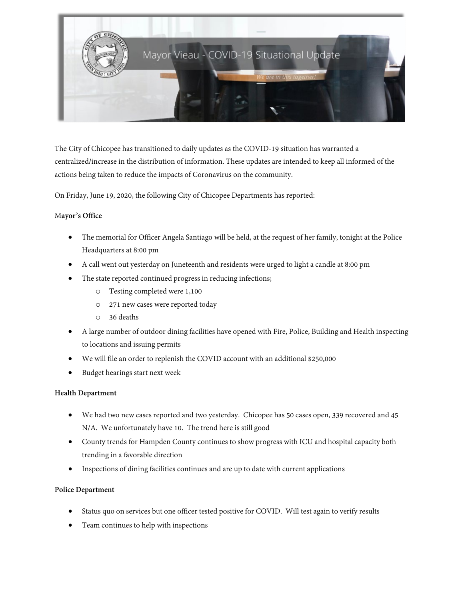

The City of Chicopee has transitioned to daily updates as the COVID-19 situation has warranted a centralized/increase in the distribution of information. These updates are intended to keep all informed of the actions being taken to reduce the impacts of Coronavirus on the community.

On Friday, June 19, 2020, the following City of Chicopee Departments has reported:

#### M**ayor's Office**

- The memorial for Officer Angela Santiago will be held, at the request of her family, tonight at the Police Headquarters at 8:00 pm
- A call went out yesterday on Juneteenth and residents were urged to light a candle at 8:00 pm
- The state reported continued progress in reducing infections;
	- o Testing completed were 1,100
	- o 271 new cases were reported today
	- o 36 deaths
- A large number of outdoor dining facilities have opened with Fire, Police, Building and Health inspecting to locations and issuing permits
- We will file an order to replenish the COVID account with an additional \$250,000
- Budget hearings start next week

## **Health Department**

- We had two new cases reported and two yesterday. Chicopee has 50 cases open, 339 recovered and 45 N/A. We unfortunately have 10. The trend here is still good
- County trends for Hampden County continues to show progress with ICU and hospital capacity both trending in a favorable direction
- Inspections of dining facilities continues and are up to date with current applications

## **Police Department**

- Status quo on services but one officer tested positive for COVID. Will test again to verify results
- Team continues to help with inspections